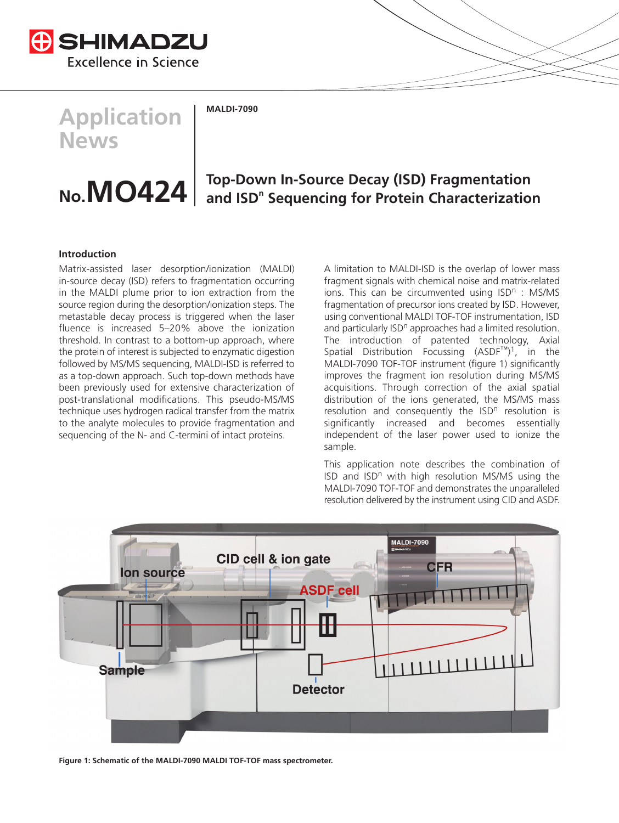

**Application News**

**MALDI-7090**

# **No.MO424 Top-Down In-Source Decay (ISD) Fragmentation** and ISD<sup>n</sup> Sequencing for Protein Characterization

## **Introduction**

Matrix-assisted laser desorption/ionization (MALDI) in-source decay (ISD) refers to fragmentation occurring in the MALDI plume prior to ion extraction from the source region during the desorption/ionization steps. The metastable decay process is triggered when the laser fluence is increased 5–20% above the ionization threshold. In contrast to a bottom-up approach, where the protein of interest is subjected to enzymatic digestion followed by MS/MS sequencing, MALDI-ISD is referred to as a top-down approach. Such top-down methods have been previously used for extensive characterization of post-translational modifications. This pseudo-MS/MS technique uses hydrogen radical transfer from the matrix to the analyte molecules to provide fragmentation and sequencing of the N- and C-termini of intact proteins.

A limitation to MALDI-ISD is the overlap of lower mass fragment signals with chemical noise and matrix-related ions. This can be circumvented using  $ISD<sup>n</sup>$ : MS/MS fragmentation of precursor ions created by ISD. However, using conventional MALDI TOF-TOF instrumentation, ISD and particularly ISD<sup>n</sup> approaches had a limited resolution. The introduction of patented technology, Axial Spatial Distribution Focussing (ASDF™) 1, in the MALDI-7090 TOF-TOF instrument (figure 1) significantly improves the fragment ion resolution during MS/MS acquisitions. Through correction of the axial spatial distribution of the ions generated, the MS/MS mass resolution and consequently the  $\text{ISD}^n$  resolution is significantly increased and becomes essentially independent of the laser power used to ionize the sample.

This application note describes the combination of ISD and  $ISD<sup>n</sup>$  with high resolution MS/MS using the MALDI-7090 TOF-TOF and demonstrates the unparalleled resolution delivered by the instrument using CID and ASDF.



**Figure 1: Schematic of the MALDI-7090 MALDI TOF-TOF mass spectrometer.**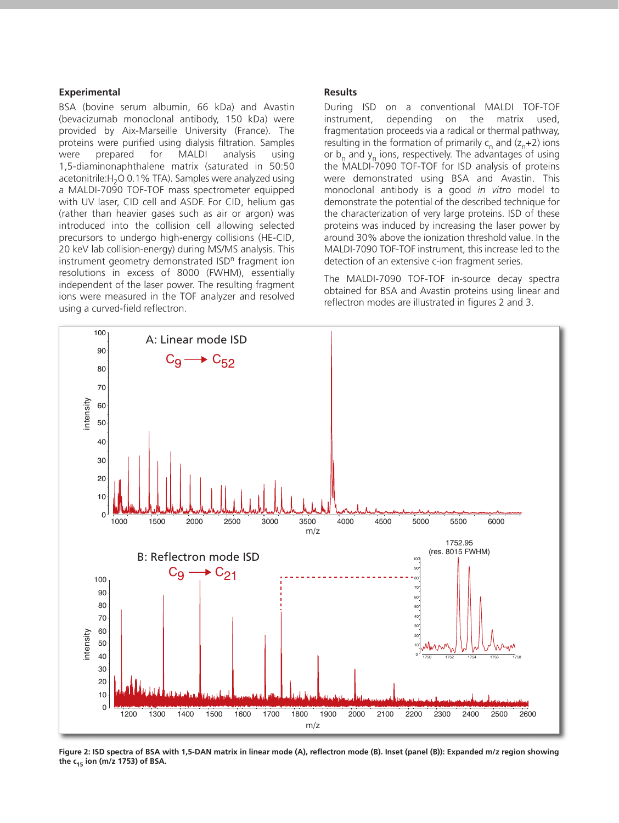#### **Experimental**

BSA (bovine serum albumin, 66 kDa) and Avastin (bevacizumab monoclonal antibody, 150 kDa) were provided by Aix-Marseille University (France). The proteins were purified using dialysis filtration. Samples were prepared for MALDI analysis using 1,5-diaminonaphthalene matrix (saturated in 50:50 acetonitrile:  $H_2$ O 0.1% TFA). Samples were analyzed using a MALDI-7090 TOF-TOF mass spectrometer equipped with UV laser, CID cell and ASDF. For CID, helium gas (rather than heavier gases such as air or argon) was introduced into the collision cell allowing selected precursors to undergo high-energy collisions (HE-CID, 20 keV lab collision-energy) during MS/MS analysis. This instrument geometry demonstrated ISD<sup>n</sup> fragment ion resolutions in excess of 8000 (FWHM), essentially independent of the laser power. The resulting fragment ions were measured in the TOF analyzer and resolved using a curved-field reflectron.

#### **Results**

During ISD on a conventional MALDI TOF-TOF instrument, depending on the matrix used, fragmentation proceeds via a radical or thermal pathway, resulting in the formation of primarily  $c_n$  and  $(z_n+2)$  ions or  $b_n$  and  $y_n$  ions, respectively. The advantages of using the MALDI-7090 TOF-TOF for ISD analysis of proteins were demonstrated using BSA and Avastin. This monoclonal antibody is a good *in vitro* model to demonstrate the potential of the described technique for the characterization of very large proteins. ISD of these proteins was induced by increasing the laser power by around 30% above the ionization threshold value. In the MALDI-7090 TOF-TOF instrument, this increase led to the detection of an extensive c-ion fragment series.

The MALDI-7090 TOF-TOF in-source decay spectra obtained for BSA and Avastin proteins using linear and reflectron modes are illustrated in figures 2 and 3.



**Figure 2: ISD spectra of BSA with 1,5-DAN matrix in linear mode (A), reflectron mode (B). Inset (panel (B)): Expanded m/z region showing** the  $c_{15}$  ion (m/z 1753) of BSA.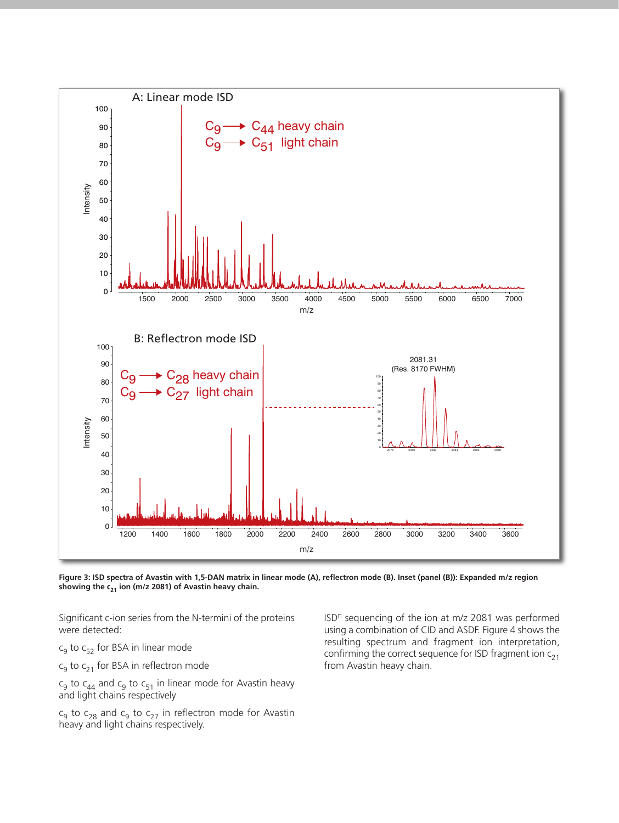![](_page_2_Figure_0.jpeg)

**Figure 3: ISD spectra of Avastin with 1,5-DAN matrix in linear mode (A), reflectron mode (B). Inset (panel (B)): Expanded m/z region** showing the c<sub>21</sub> ion (m/z 2081) of Avastin heavy chain.

Significant c-ion series from the N-termini of the proteins were detected:

 $c_9$  to  $c_{52}$  for BSA in linear mode

 $c_9$  to  $c_{21}$  for BSA in reflectron mode

 $\mathsf{c}_9$  to  $\mathsf{c}_{44}$  and  $\mathsf{c}_9$  to  $\mathsf{c}_{51}$  in linear mode for Avastin heavy and light chains respectively

 $c_9$  to  $c_{28}$  and  $c_9$  to  $c_{27}$  in reflectron mode for Avastin heavy and light chains respectively.

ISD<sup>n</sup> sequencing of the ion at m/z 2081 was performed using a combination of CID and ASDF. Figure 4 shows the resulting spectrum and fragment ion interpretation, confirming the correct sequence for ISD fragment ion  $c_{21}$ from Avastin heavy chain.